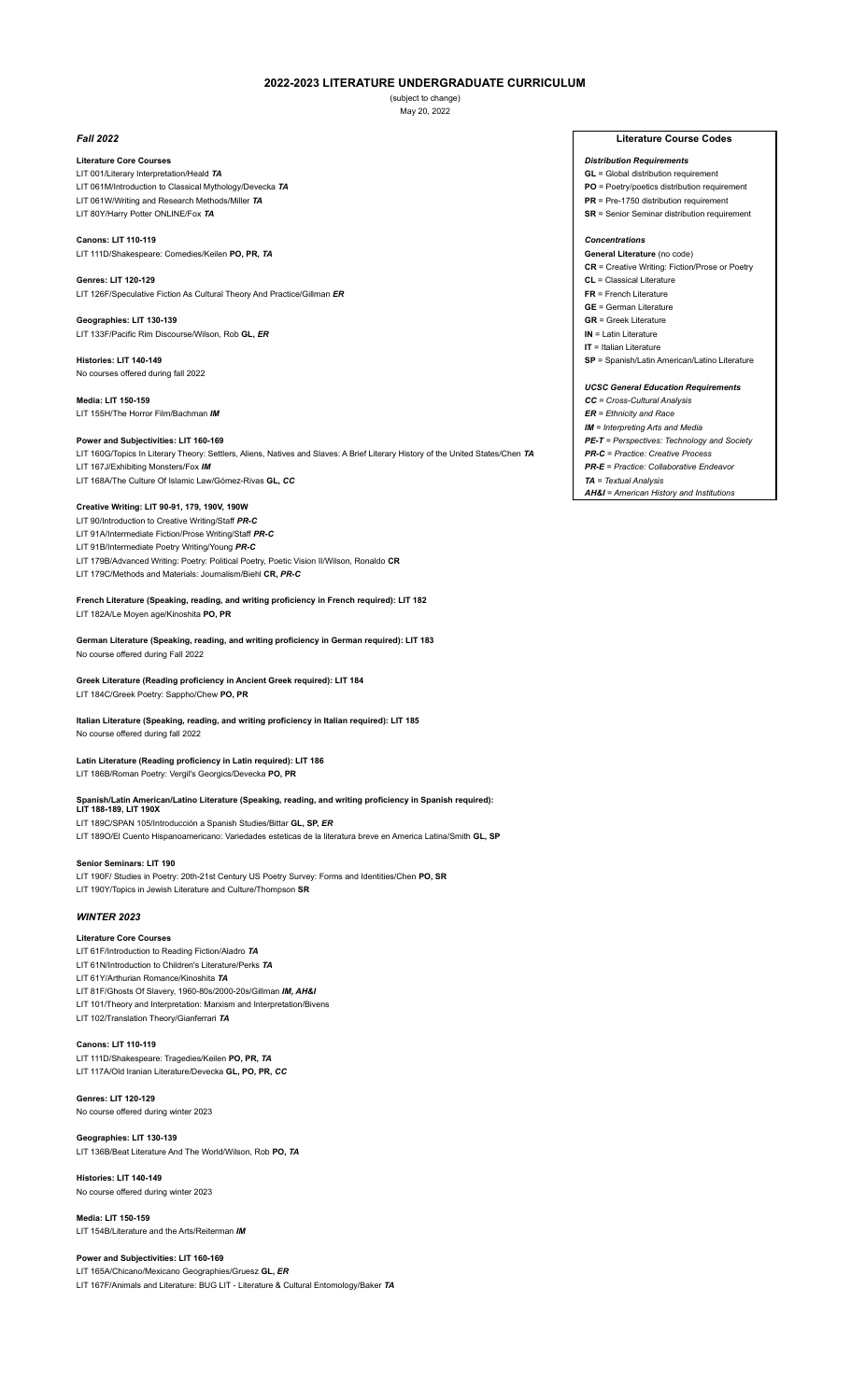# **2022-2023 LITERATURE UNDERGRADUATE CURRICULUM**

(subject to change) May 20, 2022

### **Literature Core Courses** *Distribution Requirements*

- LIT 001/Literary Interpretation/Heald **TA GL** = Global distribution requirement LIT 061M/Introduction to Classical Mythology/Devecka 7A **PO** = Poetry/poetics distribution requirement<br>
LIT 061W/Writing and Research Methods/Miller 7A **PR** = Pre-1750 distribution requirement LIT 061W/Writing and Research Methods/Miller TA
- LIT 80Y/Harry Potter ONLINE/Fox **TA SR** = Senior Seminar distribution requirement

# **Canons: LIT 110-119** *Concentrations*

# LIT 111D/Shakespeare: Comedies/Keilen **PO, PR,** *TA* **General Literature** (no code)

**Genres: LIT 120-129 CL** = Classical Literature LIT 126F/Speculative Fiction As Cultural Theory And Practice/Gillman **ER FR** = French Literature

### **Geographies: LIT 130-139 GR** = Greek Literature LIT 133F/Pacific Rim Discourse/Wilson, Rob **GL,** *ER* **IN** = Latin Literature

No courses offered during fall 2022

# **Media: LIT 150-159** *CC = Cross-Cultural Analysis*  LIT 155H/The Horror Film/Bachman *IM ER = Ethnicity and Race*

### **Power and Subjectivities: LIT 160-169** *PE-T = Perspectives: Technology and Society*

LIT 160G/Topics In Literary Theory: Settlers, Aliens, Natives and Slaves: A Brief Literary History of the United States/Chen *TA PR-C = Practice: Creative Process*  LIT 167J/Exhibiting Monsters/Fox *IM* **Monsters/Fox** *IM* **CONSTANT CONSTANT CONSTANT CONSTANT CONSTANT PR-E** = Practice: Collaborative Endeavor **PR-E** = Practice: Collaborative Endeavor

LIT 168A/The Culture Of Islamic Law/Gómez-Rivas **GL, CC** 

# **Creative Writing: LIT 90-91, 179, 190V, 190W**

LIT 90/Introduction to Creative Writing/Staff *PR-C*

LIT 91A/Intermediate Fiction/Prose Writing/Staff *PR-C*

LIT 91B/Intermediate Poetry Writing/Young *PR-C*

LIT 179B/Advanced Writing: Poetry: Political Poetry, Poetic Vision II/Wilson, Ronaldo **CR**

# LIT 179C/Methods and Materials: Journalism/Biehl **CR,** *PR-C*

**French Literature (Speaking, reading, and writing proficiency in French required): LIT 182**  LIT 182A/Le Moyen age/Kinoshita **PO, PR**

**German Literature (Speaking, reading, and writing proficiency in German required): LIT 183** No course offered during Fall 2022

**Greek Literature (Reading proficiency in Ancient Greek required): LIT 184** LIT 184C/Greek Poetry: Sappho/Chew **PO, PR**

**Italian Literature (Speaking, reading, and writing proficiency in Italian required): LIT 185**  No course offered during fall 2022

**Latin Literature (Reading proficiency in Latin required): LIT 186** LIT 186B/Roman Poetry: Vergil's Georgics/Devecka **PO, PR**

**Spanish/Latin American/Latino Literature (Speaking, reading, and writing proficiency in Spanish required): LIT 188-189, LIT 190X**

LIT 189C/SPAN 105/Introducción a Spanish Studies/Bittar **GL, SP,** *ER* LIT 189O/El Cuento Hispanoamericano: Variedades esteticas de la literatura breve en America Latina/Smith **GL, SP**

# **Senior Seminars: LIT 190**

LIT 190F/ Studies in Poetry: 20th-21st Century US Poetry Survey: Forms and Identities/Chen **PO, SR** LIT 190Y/Topics in Jewish Literature and Culture/Thompson **SR**

## *WINTER 2023*

### **Literature Core Courses**

- LIT 61F/Introduction to Reading Fiction/Aladro *TA*
- LIT 61N/Introduction to Children's Literature/Perks *TA*
- LIT 61Y/Arthurian Romance/Kinoshita *TA* LIT 81F/Ghosts Of Slavery, 1960-80s/2000-20s/Gillman *IM, AH&I*
- LIT 101/Theory and Interpretation: Marxism and Interpretation/Bivens
- LIT 102/Translation Theory/Gianferrari *TA*

# **Canons: LIT 110-119**

LIT 111D/Shakespeare: Tragedies/Keilen **PO, PR,** *TA* LIT 117A/Old Iranian Literature/Devecka **GL, PO, PR,** *CC*

### **Genres: LIT 120-129**

No course offered during winter 2023

# **Geographies: LIT 130-139**

LIT 136B/Beat Literature And The World/Wilson, Rob **PO,** *TA*

# **Histories: LIT 140-149**

No course offered during winter 2023

# **Media: LIT 150-159**

LIT 154B/Literature and the Arts/Reiterman *IM*

# **Power and Subjectivities: LIT 160-169**

LIT 165A/Chicano/Mexicano Geographies/Gruesz **GL,** *ER* LIT 167F/Animals and Literature: BUG LIT - Literature & Cultural Entomology/Baker *TA*

# *Fall 2022* **Literature Course Codes**

- 
- 
- 

**CR** = Creative Writing: Fiction/Prose or Poetry

**GE** = German Literature

**IT** = Italian Literature

**Histories: LIT 140-149 SP** = Spanish/Latin American/Latino Literature

# *UCSC General Education Requirements*

*IM = Interpreting Arts and Media* 

*AH&I = American History and Institutions*